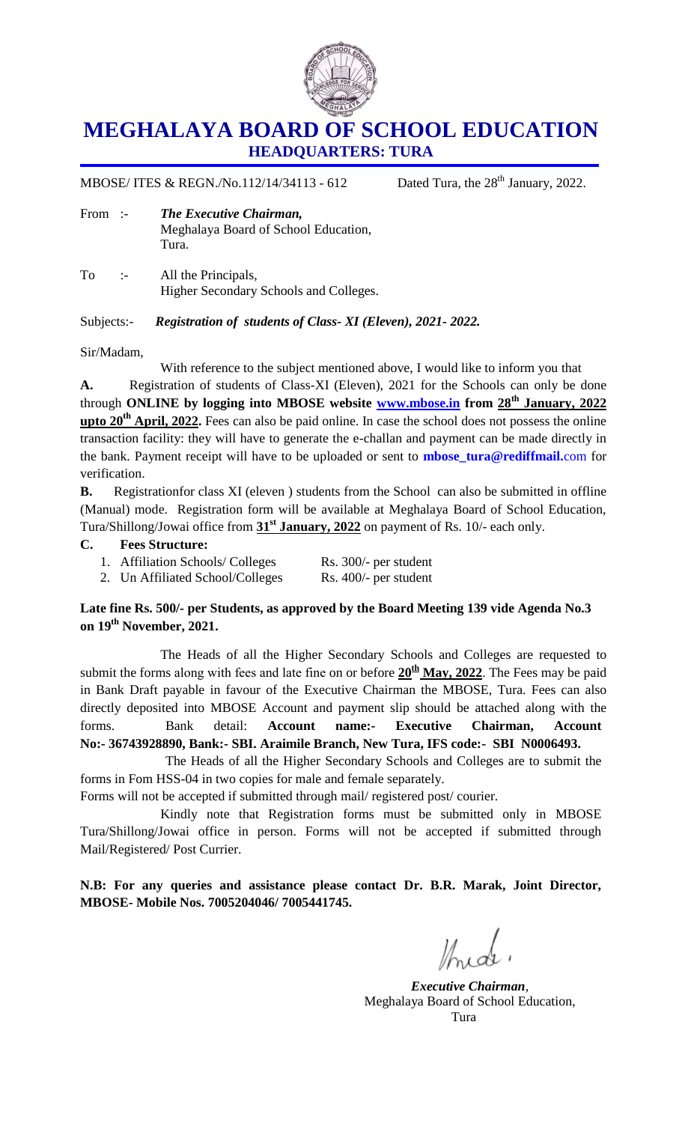

## **MEGHALAYA BOARD OF SCHOOL EDUCATION HEADQUARTERS: TURA**

MBOSE/ ITES & REGN./No.112/14/34113 - 612 Dated Tura, the  $28<sup>th</sup>$  January, 2022.

- From :- *The Executive Chairman,*  Meghalaya Board of School Education, Tura.
- To :- All the Principals, Higher Secondary Schools and Colleges.

Subjects:- *Registration of students of Class- XI (Eleven), 2021- 2022.*

Sir/Madam,

With reference to the subject mentioned above, I would like to inform you that

**A.** Registration of students of Class-XI (Eleven), 2021 for the Schools can only be done through **ONLINE by logging into MBOSE website [www.mbose.in](http://www.mbose.in/) from 28th January, 2022 upto 20th April, 2022.** Fees can also be paid online. In case the school does not possess the online transaction facility: they will have to generate the e-challan and payment can be made directly in the bank. Payment receipt will have to be uploaded or sent to **[mbose\\_tura@rediffmail.](mailto:mbose_tura@rediffmail.com)**com for verification.

**B.** Registrationfor class XI (eleven ) students from the School can also be submitted in offline (Manual) mode. Registration form will be available at Meghalaya Board of School Education, Tura/Shillong/Jowai office from **31st January, 2022** on payment of Rs. 10/- each only.

## **C. Fees Structure:**

1. Affiliation Schools/ Colleges Rs. 300/- per student 2. Un Affiliated School/Colleges Rs. 400/- per student

## **Late fine Rs. 500/- per Students, as approved by the Board Meeting 139 vide Agenda No.3 on 19th November, 2021.**

The Heads of all the Higher Secondary Schools and Colleges are requested to submit the forms along with fees and late fine on or before **20th May, 2022**. The Fees may be paid in Bank Draft payable in favour of the Executive Chairman the MBOSE, Tura. Fees can also directly deposited into MBOSE Account and payment slip should be attached along with the forms. Bank detail: **Account name:- Executive Chairman, Account No:- 36743928890, Bank:- SBI. Araimile Branch, New Tura, IFS code:- SBI N0006493.** 

The Heads of all the Higher Secondary Schools and Colleges are to submit the forms in Fom HSS-04 in two copies for male and female separately.

Forms will not be accepted if submitted through mail/ registered post/ courier.

Kindly note that Registration forms must be submitted only in MBOSE Tura/Shillong/Jowai office in person. Forms will not be accepted if submitted through Mail/Registered/ Post Currier.

**N.B: For any queries and assistance please contact Dr. B.R. Marak, Joint Director, MBOSE- Mobile Nos. 7005204046/ 7005441745.** 

 $\mathbb{Z}$  de

*Executive Chairman*, Meghalaya Board of School Education, Tura